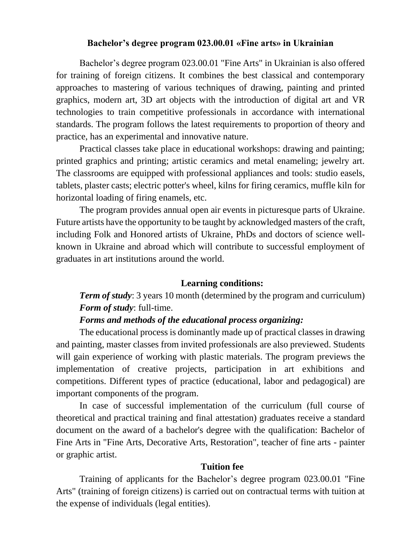## **Bachelor's degree program 023.00.01 «Fine arts» in Ukrainian**

Bachelor's degree program 023.00.01 "Fine Arts" in Ukrainian is also offered for training of foreign citizens. It combines the best classical and contemporary approaches to mastering of various techniques of drawing, painting and printed graphics, modern art, 3D art objects with the introduction of digital art and VR technologies to train competitive professionals in accordance with international standards. The program follows the latest requirements to proportion of theory and practice, has an experimental and innovative nature.

Practical classes take place in educational workshops: drawing and painting; printed graphics and printing; artistic ceramics and metal enameling; jewelry art. The classrooms are equipped with professional appliances and tools: studio easels, tablets, plaster casts; electric potter's wheel, kilns for firing ceramics, muffle kiln for horizontal loading of firing enamels, etc.

The program provides annual open air events in picturesque parts of Ukraine. Future artists have the opportunity to be taught by acknowledged masters of the craft, including Folk and Honored artists of Ukraine, PhDs and doctors of science wellknown in Ukraine and abroad which will contribute to successful employment of graduates in art institutions around the world.

# **Learning conditions:**

*Term of study*: 3 years 10 month (determined by the program and curriculum) *Form of study*: full-time.

#### *Forms and methods of the educational process organizing:*

The educational process is dominantly made up of practical classes in drawing and painting, master classes from invited professionals are also previewed. Students will gain experience of working with plastic materials. The program previews the implementation of creative projects, participation in art exhibitions and competitions. Different types of practice (educational, labor and pedagogical) are important components of the program.

In case of successful implementation of the curriculum (full course of theoretical and practical training and final attestation) graduates receive a standard document on the award of a bachelor's degree with the qualification: Bachelor of Fine Arts in "Fine Arts, Decorative Arts, Restoration", teacher of fine arts - painter or graphic artist.

#### **Tuition fee**

Training of applicants for the Bachelor's degree program 023.00.01 "Fine Arts" (training of foreign citizens) is carried out on contractual terms with tuition at the expense of individuals (legal entities).